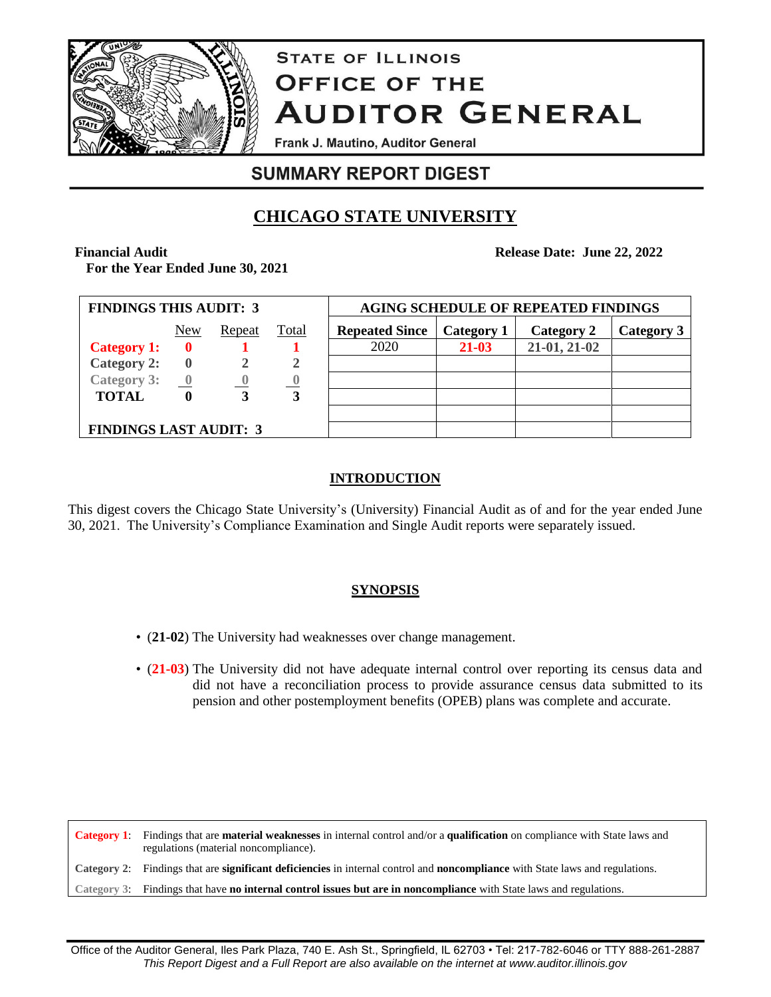

# **STATE OF ILLINOIS OFFICE OF THE AUDITOR GENERAL**

Frank J. Mautino, Auditor General

# **SUMMARY REPORT DIGEST**

# **CHICAGO STATE UNIVERSITY**

**Financial Audit For the Year Ended June 30, 2021** **Release Date: June 22, 2022**

| <b>FINDINGS THIS AUDIT: 3</b> |                         |        |       | <b>AGING SCHEDULE OF REPEATED FINDINGS</b> |            |              |            |
|-------------------------------|-------------------------|--------|-------|--------------------------------------------|------------|--------------|------------|
|                               | New                     | Repeat | Total | <b>Repeated Since</b>                      | Category 1 | Category 2   | Category 3 |
| <b>Category 1:</b>            |                         |        |       | 2020                                       | 21-03      | 21-01, 21-02 |            |
| <b>Category 2:</b>            |                         |        |       |                                            |            |              |            |
| Category 3:                   | $\overline{\mathbf{0}}$ |        |       |                                            |            |              |            |
| <b>TOTAL</b>                  |                         |        | 3     |                                            |            |              |            |
|                               |                         |        |       |                                            |            |              |            |
| <b>FINDINGS LAST AUDIT: 3</b> |                         |        |       |                                            |            |              |            |

# **INTRODUCTION**

This digest covers the Chicago State University's (University) Financial Audit as of and for the year ended June 30, 2021. The University's Compliance Examination and Single Audit reports were separately issued.

# **SYNOPSIS**

- (**21-02**) The University had weaknesses over change management.
- (**21-03**) The University did not have adequate internal control over reporting its census data and did not have a reconciliation process to provide assurance census data submitted to its pension and other postemployment benefits (OPEB) plans was complete and accurate.

**Category 1**: Findings that are **material weaknesses** in internal control and/or a **qualification** on compliance with State laws and regulations (material noncompliance). **Category 2**: Findings that are **significant deficiencies** in internal control and **noncompliance** with State laws and regulations. **Category 3**: Findings that have **no internal control issues but are in noncompliance** with State laws and regulations.

Office of the Auditor General, Iles Park Plaza, 740 E. Ash St., Springfield, IL 62703 • Tel: 217-782-6046 or TTY 888-261-2887 *This Report Digest and a Full Report are also available on the internet at www.auditor.illinois.gov*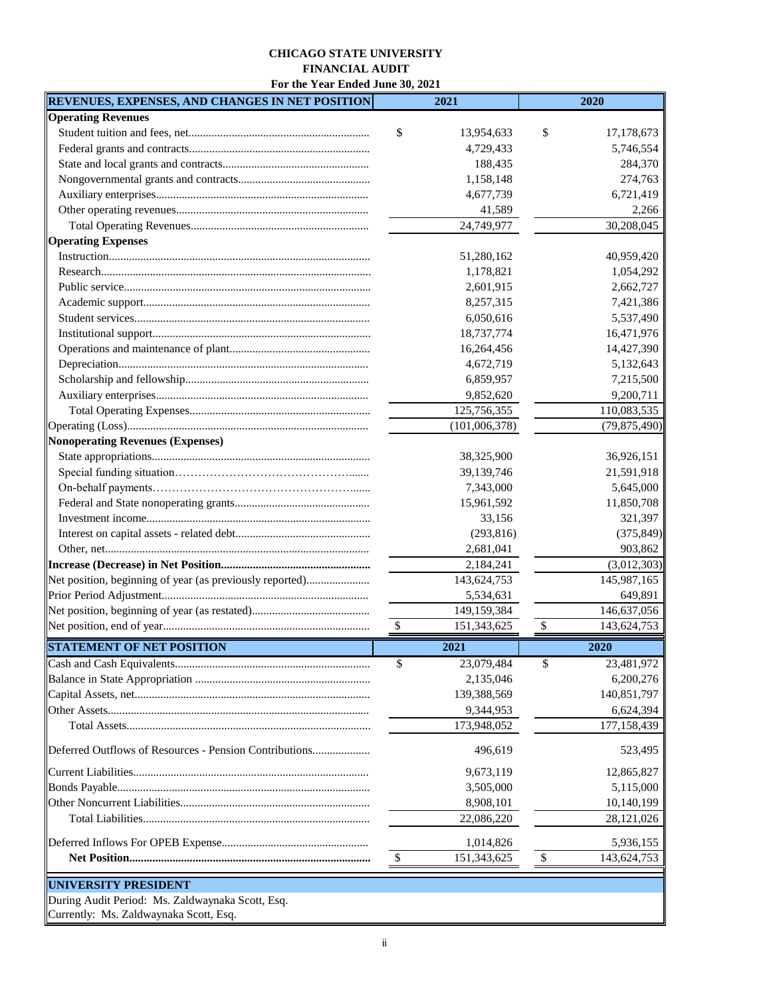#### **CHICAGO STATE UNIVERSITY FINANCIAL AUDIT**

**For the Year Ended June 30, 2021**

| REVENUES, EXPENSES, AND CHANGES IN NET POSITION          | 2021              | 2020                                     |  |  |  |  |
|----------------------------------------------------------|-------------------|------------------------------------------|--|--|--|--|
| <b>Operating Revenues</b>                                |                   |                                          |  |  |  |  |
|                                                          | \$<br>13,954,633  | \$<br>17,178,673                         |  |  |  |  |
|                                                          | 4,729,433         | 5,746,554                                |  |  |  |  |
|                                                          | 188,435           | 284,370                                  |  |  |  |  |
|                                                          | 1,158,148         | 274,763                                  |  |  |  |  |
|                                                          | 4,677,739         | 6,721,419                                |  |  |  |  |
|                                                          | 41,589            | 2,266                                    |  |  |  |  |
|                                                          | 24,749,977        | 30,208,045                               |  |  |  |  |
| <b>Operating Expenses</b>                                |                   |                                          |  |  |  |  |
|                                                          | 51,280,162        | 40,959,420                               |  |  |  |  |
|                                                          | 1,178,821         | 1,054,292                                |  |  |  |  |
|                                                          | 2,601,915         | 2,662,727                                |  |  |  |  |
|                                                          | 8,257,315         | 7,421,386                                |  |  |  |  |
|                                                          | 6,050,616         | 5,537,490                                |  |  |  |  |
|                                                          | 18,737,774        | 16,471,976                               |  |  |  |  |
|                                                          | 16,264,456        | 14,427,390                               |  |  |  |  |
|                                                          | 4,672,719         | 5,132,643                                |  |  |  |  |
|                                                          | 6,859,957         | 7,215,500                                |  |  |  |  |
|                                                          | 9,852,620         | 9,200,711                                |  |  |  |  |
|                                                          | 125,756,355       | 110,083,535                              |  |  |  |  |
|                                                          | (101,006,378)     | (79,875,490)                             |  |  |  |  |
| Nonoperating Revenues (Expenses)                         |                   |                                          |  |  |  |  |
|                                                          | 38,325,900        | 36,926,151                               |  |  |  |  |
|                                                          | 39,139,746        | 21,591,918                               |  |  |  |  |
|                                                          | 7,343,000         | 5,645,000                                |  |  |  |  |
|                                                          | 15,961,592        | 11,850,708                               |  |  |  |  |
|                                                          | 33,156            | 321,397                                  |  |  |  |  |
|                                                          | (293, 816)        | (375, 849)                               |  |  |  |  |
|                                                          | 2,681,041         | 903,862                                  |  |  |  |  |
|                                                          | 2,184,241         | (3,012,303)                              |  |  |  |  |
| Net position, beginning of year (as previously reported) | 143,624,753       | 145,987,165                              |  |  |  |  |
|                                                          | 5,534,631         | 649,891                                  |  |  |  |  |
|                                                          | 149,159,384       | 146,637,056                              |  |  |  |  |
|                                                          | \$<br>151,343,625 | $\boldsymbol{\mathsf{S}}$<br>143,624,753 |  |  |  |  |
|                                                          |                   |                                          |  |  |  |  |
| <b>STATEMENT OF NET POSITION</b>                         | 2021              | 2020                                     |  |  |  |  |
|                                                          | \$<br>23,079,484  | \$<br>23,481,972                         |  |  |  |  |
|                                                          | 2,135,046         | 6,200,276                                |  |  |  |  |
|                                                          | 139,388,569       | 140,851,797                              |  |  |  |  |
|                                                          | 9,344,953         | 6,624,394                                |  |  |  |  |
|                                                          | 173,948,052       | 177,158,439                              |  |  |  |  |
| Deferred Outflows of Resources - Pension Contributions   | 496,619           | 523,495                                  |  |  |  |  |
|                                                          | 9,673,119         | 12,865,827                               |  |  |  |  |
|                                                          | 3,505,000         | 5,115,000                                |  |  |  |  |
|                                                          | 8,908,101         | 10,140,199                               |  |  |  |  |
|                                                          | 22,086,220        | 28, 121, 026                             |  |  |  |  |
|                                                          |                   |                                          |  |  |  |  |
|                                                          | 1,014,826         | 5,936,155                                |  |  |  |  |
|                                                          | \$<br>151,343,625 | \$<br>143,624,753                        |  |  |  |  |
| <b>UNIVERSITY PRESIDENT</b>                              |                   |                                          |  |  |  |  |
| During Audit Period: Ms. Zaldwaynaka Scott, Esq.         |                   |                                          |  |  |  |  |
|                                                          |                   |                                          |  |  |  |  |

Currently: Ms. Zaldwaynaka Scott, Esq.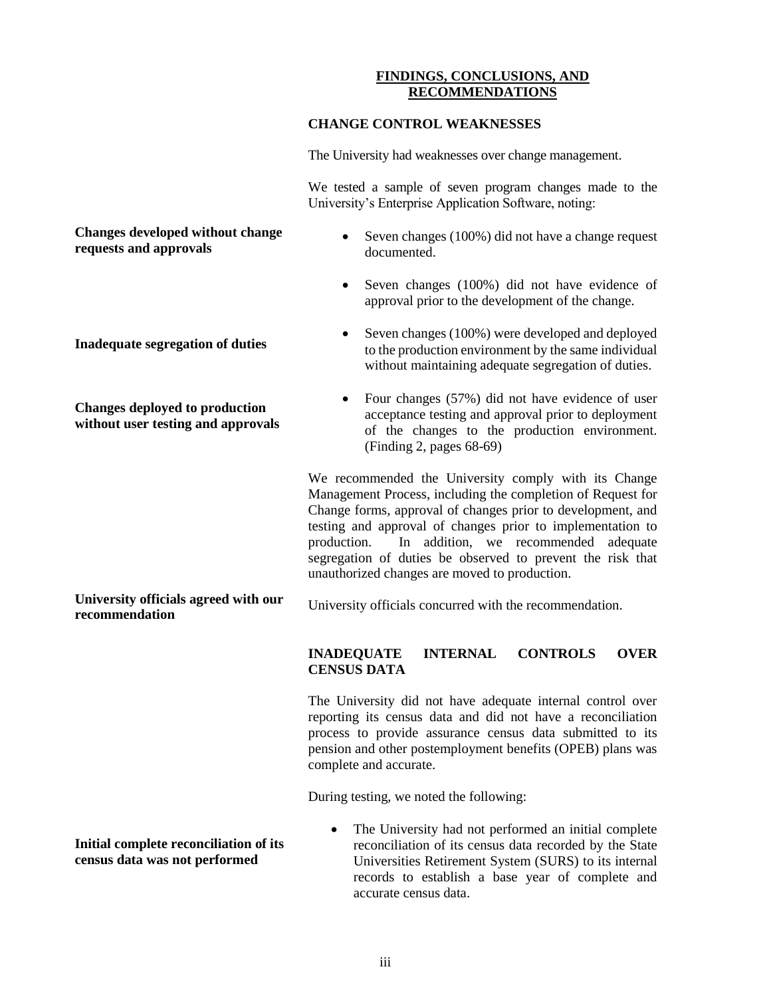#### **FINDINGS, CONCLUSIONS, AND RECOMMENDATIONS**

#### **CHANGE CONTROL WEAKNESSES**

The University had weaknesses over change management.

We tested a sample of seven program changes made to the University's Enterprise Application Software, noting:

#### **Changes developed without change requests and approvals**

**Inadequate segregation of duties**

**Changes deployed to production without user testing and approvals**

- Seven changes (100%) did not have a change request documented.
- Seven changes (100%) did not have evidence of approval prior to the development of the change.
- Seven changes (100%) were developed and deployed to the production environment by the same individual without maintaining adequate segregation of duties.
- Four changes (57%) did not have evidence of user acceptance testing and approval prior to deployment of the changes to the production environment. (Finding 2, pages 68-69)

We recommended the University comply with its Change Management Process, including the completion of Request for Change forms, approval of changes prior to development, and testing and approval of changes prior to implementation to production. In addition, we recommended adequate segregation of duties be observed to prevent the risk that unauthorized changes are moved to production.

**University officials agreed with our recommendation** University officials concurred with the recommendation.

#### **INADEQUATE INTERNAL CONTROLS OVER CENSUS DATA**

The University did not have adequate internal control over reporting its census data and did not have a reconciliation process to provide assurance census data submitted to its pension and other postemployment benefits (OPEB) plans was complete and accurate.

During testing, we noted the following:

• The University had not performed an initial complete reconciliation of its census data recorded by the State Universities Retirement System (SURS) to its internal records to establish a base year of complete and accurate census data.

**Initial complete reconciliation of its census data was not performed**